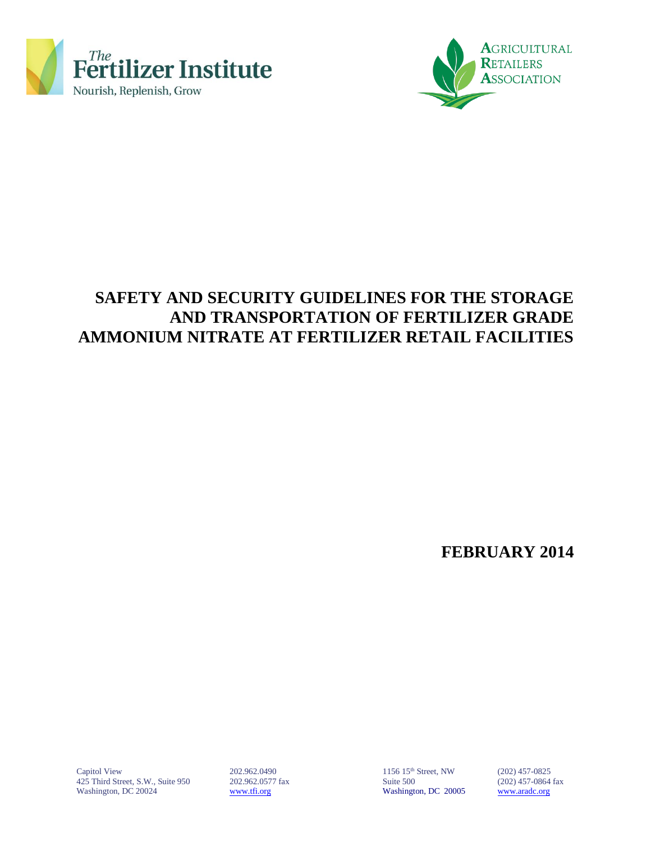



## **SAFETY AND SECURITY GUIDELINES FOR THE STORAGE AND TRANSPORTATION OF FERTILIZER GRADE AMMONIUM NITRATE AT FERTILIZER RETAIL FACILITIES**

**FEBRUARY 2014**

Capitol View 202.962.0490 1156 15<sup>th</sup> Street, NW (202) 457-0825<br>425 Third Street, S.W., Suite 950 202.962.0577 fax Suite 500 Suite 500 (202) 457-0864 fax 425 Third Street, S.W., Suite 950 202.962.0577 fax Suite 500 Washington, DC 20024 [www.tfi.org](http://www.tfi.org/) Washington, DC 20005 [www.aradc.org](http://www.aradc.org/)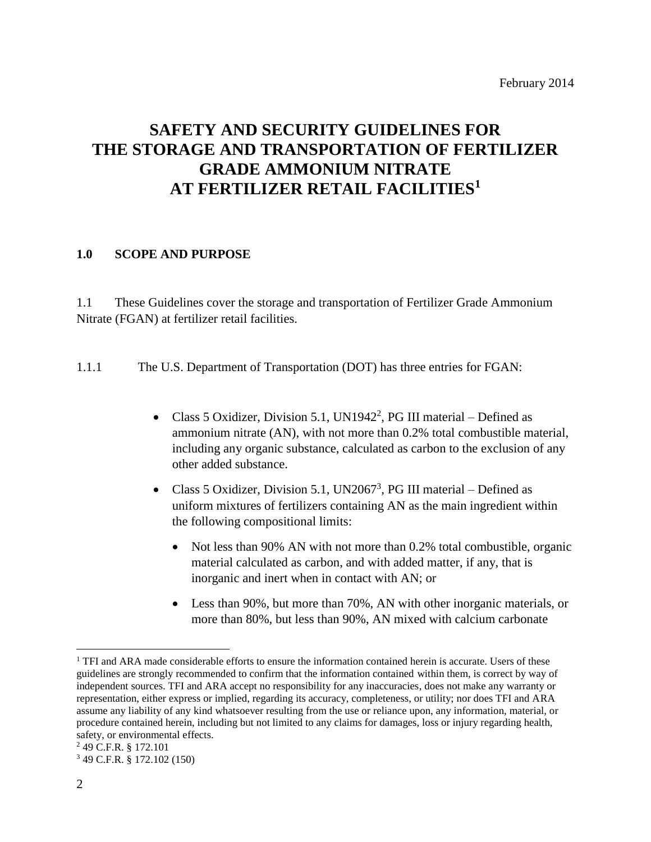## **SAFETY AND SECURITY GUIDELINES FOR THE STORAGE AND TRANSPORTATION OF FERTILIZER GRADE AMMONIUM NITRATE AT FERTILIZER RETAIL FACILITIES<sup>1</sup>**

#### **1.0 SCOPE AND PURPOSE**

1.1 These Guidelines cover the storage and transportation of Fertilizer Grade Ammonium Nitrate (FGAN) at fertilizer retail facilities.

1.1.1 The U.S. Department of Transportation (DOT) has three entries for FGAN:

- Class 5 Oxidizer, Division 5.1, UN1942<sup>2</sup>, PG III material Defined as ammonium nitrate (AN), with not more than 0.2% total combustible material, including any organic substance, calculated as carbon to the exclusion of any other added substance.
- Class 5 Oxidizer, Division 5.1, UN2067<sup>3</sup>, PG III material Defined as uniform mixtures of fertilizers containing AN as the main ingredient within the following compositional limits:
	- Not less than 90% AN with not more than 0.2% total combustible, organic material calculated as carbon, and with added matter, if any, that is inorganic and inert when in contact with AN; or
	- Less than 90%, but more than 70%, AN with other inorganic materials, or more than 80%, but less than 90%, AN mixed with calcium carbonate

 $\overline{a}$ 

<sup>&</sup>lt;sup>1</sup> TFI and ARA made considerable efforts to ensure the information contained herein is accurate. Users of these guidelines are strongly recommended to confirm that the information contained within them, is correct by way of independent sources. TFI and ARA accept no responsibility for any inaccuracies, does not make any warranty or representation, either express or implied, regarding its accuracy, completeness, or utility; nor does TFI and ARA assume any liability of any kind whatsoever resulting from the use or reliance upon, any information, material, or procedure contained herein, including but not limited to any claims for damages, loss or injury regarding health, safety, or environmental effects.

<sup>2</sup> 49 C.F.R. § 172.101

<sup>3</sup> 49 C.F.R. § 172.102 (150)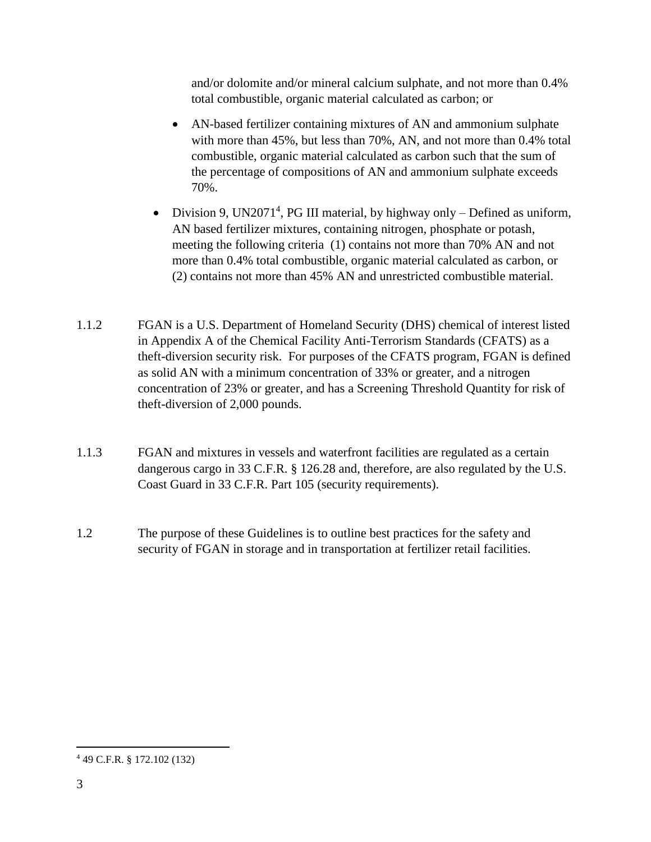and/or dolomite and/or mineral calcium sulphate, and not more than 0.4% total combustible, organic material calculated as carbon; or

- AN-based fertilizer containing mixtures of AN and ammonium sulphate with more than 45%, but less than 70%, AN, and not more than 0.4% total combustible, organic material calculated as carbon such that the sum of the percentage of compositions of AN and ammonium sulphate exceeds 70%.
- Division 9, UN2071<sup>4</sup>, PG III material, by highway only Defined as uniform, AN based fertilizer mixtures, containing nitrogen, phosphate or potash, meeting the following criteria (1) contains not more than 70% AN and not more than 0.4% total combustible, organic material calculated as carbon, or (2) contains not more than 45% AN and unrestricted combustible material.
- 1.1.2 FGAN is a U.S. Department of Homeland Security (DHS) chemical of interest listed in Appendix A of the Chemical Facility Anti-Terrorism Standards (CFATS) as a theft-diversion security risk. For purposes of the CFATS program, FGAN is defined as solid AN with a minimum concentration of 33% or greater, and a nitrogen concentration of 23% or greater, and has a Screening Threshold Quantity for risk of theft-diversion of 2,000 pounds.
- 1.1.3 FGAN and mixtures in vessels and waterfront facilities are regulated as a certain dangerous cargo in 33 C.F.R. § 126.28 and, therefore, are also regulated by the U.S. Coast Guard in 33 C.F.R. Part 105 (security requirements).
- 1.2 The purpose of these Guidelines is to outline best practices for the safety and security of FGAN in storage and in transportation at fertilizer retail facilities.

 $\overline{a}$ 

<sup>4</sup> 49 C.F.R. § 172.102 (132)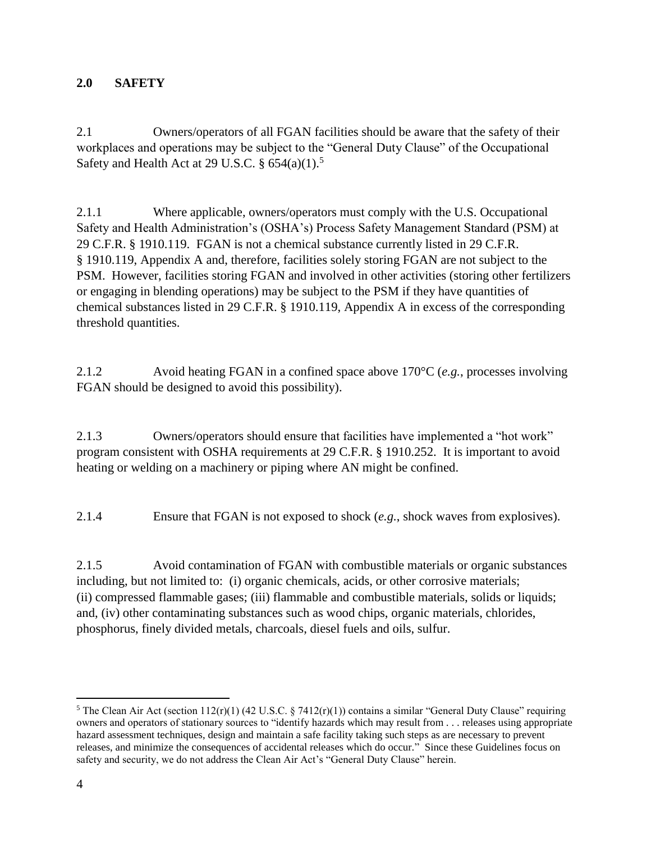### **2.0 SAFETY**

2.1 Owners/operators of all FGAN facilities should be aware that the safety of their workplaces and operations may be subject to the "General Duty Clause" of the Occupational Safety and Health Act at 29 U.S.C.  $\S 654(a)(1)$ .<sup>5</sup>

2.1.1 Where applicable, owners/operators must comply with the U.S. Occupational Safety and Health Administration's (OSHA's) Process Safety Management Standard (PSM) at 29 C.F.R. § 1910.119. FGAN is not a chemical substance currently listed in 29 C.F.R. § 1910.119, Appendix A and, therefore, facilities solely storing FGAN are not subject to the PSM. However, facilities storing FGAN and involved in other activities (storing other fertilizers or engaging in blending operations) may be subject to the PSM if they have quantities of chemical substances listed in 29 C.F.R. § 1910.119, Appendix A in excess of the corresponding threshold quantities.

2.1.2 Avoid heating FGAN in a confined space above 170°C (*e.g.*, processes involving FGAN should be designed to avoid this possibility).

2.1.3 Owners/operators should ensure that facilities have implemented a "hot work" program consistent with OSHA requirements at 29 C.F.R. § 1910.252. It is important to avoid heating or welding on a machinery or piping where AN might be confined.

2.1.4 Ensure that FGAN is not exposed to shock (*e.g.*, shock waves from explosives).

2.1.5 Avoid contamination of FGAN with combustible materials or organic substances including, but not limited to: (i) organic chemicals, acids, or other corrosive materials; (ii) compressed flammable gases; (iii) flammable and combustible materials, solids or liquids; and, (iv) other contaminating substances such as wood chips, organic materials, chlorides, phosphorus, finely divided metals, charcoals, diesel fuels and oils, sulfur.

 $\overline{a}$ 

<sup>&</sup>lt;sup>5</sup> The Clean Air Act (section  $112(r)(1)$  (42 U.S.C. § 7412 $(r)(1)$ ) contains a similar "General Duty Clause" requiring owners and operators of stationary sources to "identify hazards which may result from . . . releases using appropriate hazard assessment techniques, design and maintain a safe facility taking such steps as are necessary to prevent releases, and minimize the consequences of accidental releases which do occur." Since these Guidelines focus on safety and security, we do not address the Clean Air Act's "General Duty Clause" herein.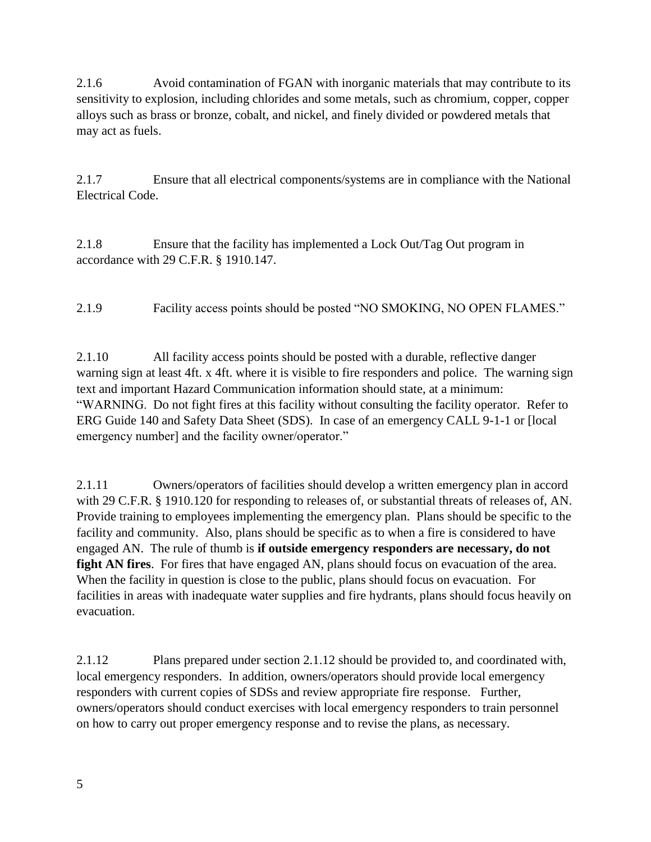2.1.6 Avoid contamination of FGAN with inorganic materials that may contribute to its sensitivity to explosion, including chlorides and some metals, such as chromium, copper, copper alloys such as brass or bronze, cobalt, and nickel, and finely divided or powdered metals that may act as fuels.

2.1.7 Ensure that all electrical components/systems are in compliance with the National Electrical Code.

2.1.8 Ensure that the facility has implemented a Lock Out/Tag Out program in accordance with 29 C.F.R. § 1910.147.

2.1.9 Facility access points should be posted "NO SMOKING, NO OPEN FLAMES."

2.1.10 All facility access points should be posted with a durable, reflective danger warning sign at least 4ft. x 4ft. where it is visible to fire responders and police. The warning sign text and important Hazard Communication information should state, at a minimum: "WARNING. Do not fight fires at this facility without consulting the facility operator. Refer to ERG Guide 140 and Safety Data Sheet (SDS). In case of an emergency CALL 9-1-1 or [local emergency number] and the facility owner/operator."

2.1.11 Owners/operators of facilities should develop a written emergency plan in accord with 29 C.F.R. § 1910.120 for responding to releases of, or substantial threats of releases of, AN. Provide training to employees implementing the emergency plan. Plans should be specific to the facility and community. Also, plans should be specific as to when a fire is considered to have engaged AN. The rule of thumb is **if outside emergency responders are necessary, do not fight AN fires**. For fires that have engaged AN, plans should focus on evacuation of the area. When the facility in question is close to the public, plans should focus on evacuation. For facilities in areas with inadequate water supplies and fire hydrants, plans should focus heavily on evacuation.

2.1.12 Plans prepared under section 2.1.12 should be provided to, and coordinated with, local emergency responders. In addition, owners/operators should provide local emergency responders with current copies of SDSs and review appropriate fire response. Further, owners/operators should conduct exercises with local emergency responders to train personnel on how to carry out proper emergency response and to revise the plans, as necessary.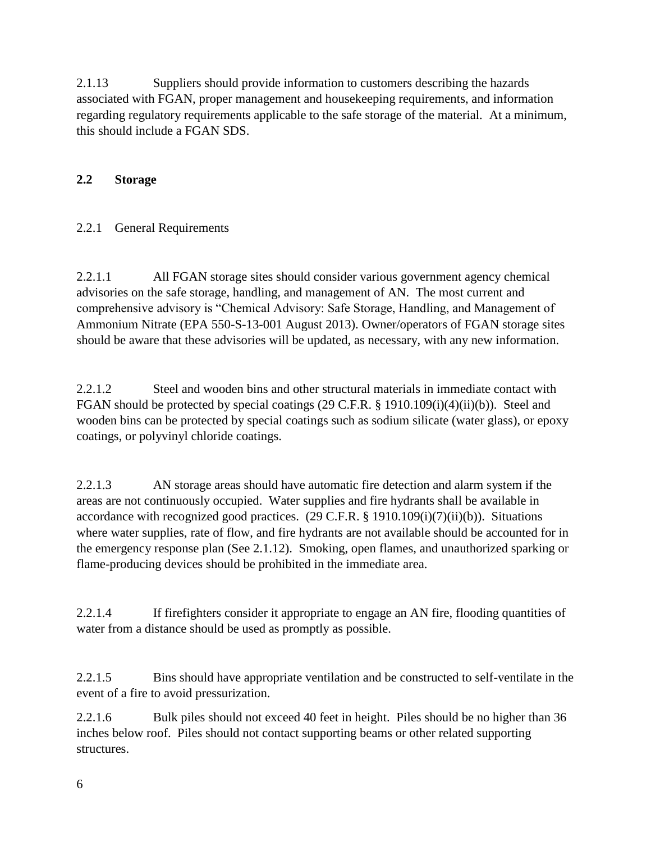2.1.13 Suppliers should provide information to customers describing the hazards associated with FGAN, proper management and housekeeping requirements, and information regarding regulatory requirements applicable to the safe storage of the material. At a minimum, this should include a FGAN SDS.

## **2.2 Storage**

### 2.2.1 General Requirements

2.2.1.1 All FGAN storage sites should consider various government agency chemical advisories on the safe storage, handling, and management of AN. The most current and comprehensive advisory is "Chemical Advisory: Safe Storage, Handling, and Management of Ammonium Nitrate (EPA 550-S-13-001 August 2013). Owner/operators of FGAN storage sites should be aware that these advisories will be updated, as necessary, with any new information.

2.2.1.2 Steel and wooden bins and other structural materials in immediate contact with FGAN should be protected by special coatings (29 C.F.R. § 1910.109(i)(4)(ii)(b)). Steel and wooden bins can be protected by special coatings such as sodium silicate (water glass), or epoxy coatings, or polyvinyl chloride coatings.

2.2.1.3 AN storage areas should have automatic fire detection and alarm system if the areas are not continuously occupied. Water supplies and fire hydrants shall be available in accordance with recognized good practices. (29 C.F.R. § 1910.109(i)(7)(ii)(b)). Situations where water supplies, rate of flow, and fire hydrants are not available should be accounted for in the emergency response plan (See 2.1.12). Smoking, open flames, and unauthorized sparking or flame-producing devices should be prohibited in the immediate area.

2.2.1.4 If firefighters consider it appropriate to engage an AN fire, flooding quantities of water from a distance should be used as promptly as possible.

2.2.1.5 Bins should have appropriate ventilation and be constructed to self-ventilate in the event of a fire to avoid pressurization.

2.2.1.6 Bulk piles should not exceed 40 feet in height. Piles should be no higher than 36 inches below roof. Piles should not contact supporting beams or other related supporting structures.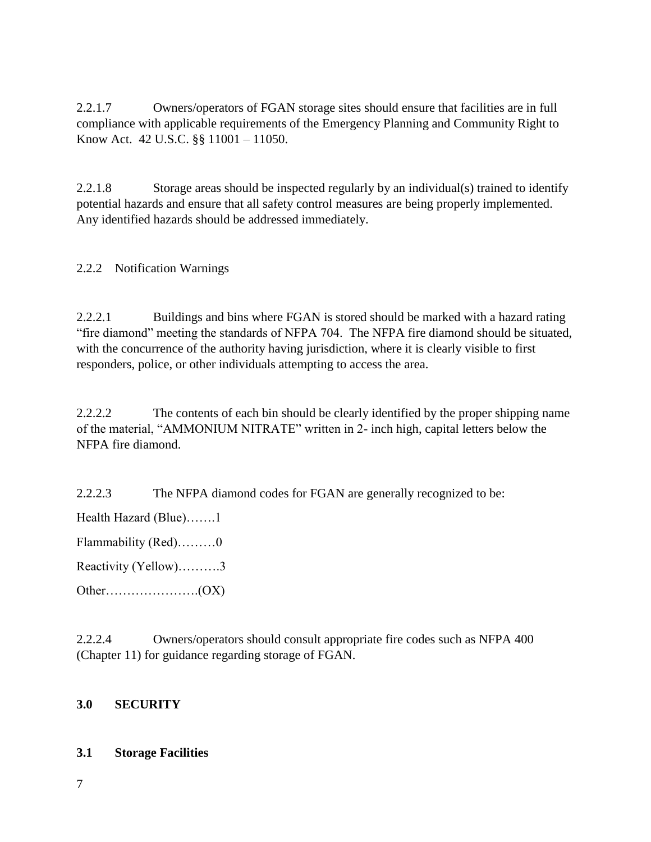2.2.1.7 Owners/operators of FGAN storage sites should ensure that facilities are in full compliance with applicable requirements of the Emergency Planning and Community Right to Know Act. 42 U.S.C. §§ 11001 – 11050.

2.2.1.8 Storage areas should be inspected regularly by an individual(s) trained to identify potential hazards and ensure that all safety control measures are being properly implemented. Any identified hazards should be addressed immediately.

#### 2.2.2 Notification Warnings

2.2.2.1 Buildings and bins where FGAN is stored should be marked with a hazard rating "fire diamond" meeting the standards of NFPA 704. The NFPA fire diamond should be situated, with the concurrence of the authority having jurisdiction, where it is clearly visible to first responders, police, or other individuals attempting to access the area.

2.2.2.2 The contents of each bin should be clearly identified by the proper shipping name of the material, "AMMONIUM NITRATE" written in 2- inch high, capital letters below the NFPA fire diamond.

2.2.2.3 The NFPA diamond codes for FGAN are generally recognized to be:

Health Hazard (Blue)…….1

Flammability (Red)………0

Reactivity (Yellow)……….3

Other………………….(OX)

2.2.2.4 Owners/operators should consult appropriate fire codes such as NFPA 400 (Chapter 11) for guidance regarding storage of FGAN.

#### **3.0 SECURITY**

#### **3.1 Storage Facilities**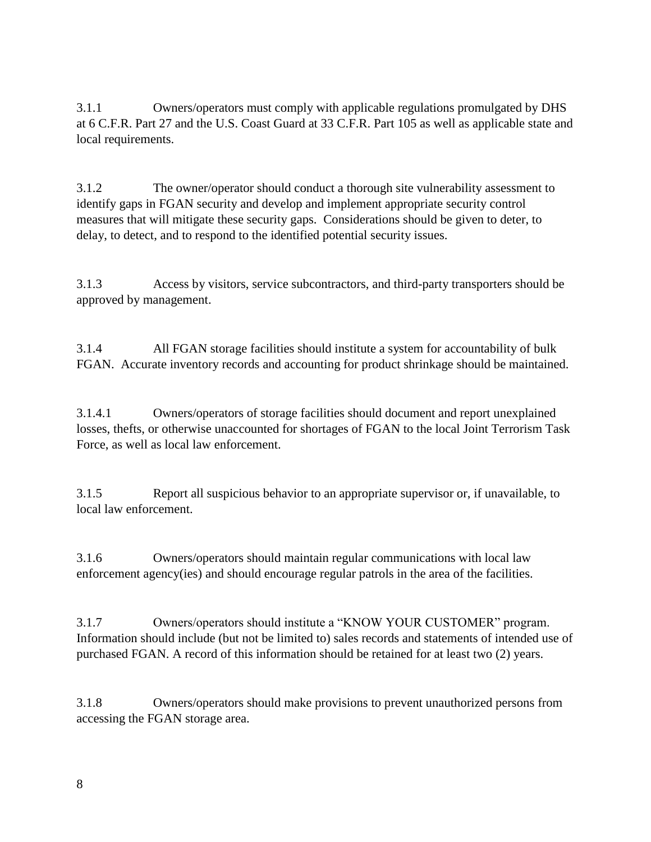3.1.1 Owners/operators must comply with applicable regulations promulgated by DHS at 6 C.F.R. Part 27 and the U.S. Coast Guard at 33 C.F.R. Part 105 as well as applicable state and local requirements.

3.1.2 The owner/operator should conduct a thorough site vulnerability assessment to identify gaps in FGAN security and develop and implement appropriate security control measures that will mitigate these security gaps. Considerations should be given to deter, to delay, to detect, and to respond to the identified potential security issues.

3.1.3 Access by visitors, service subcontractors, and third-party transporters should be approved by management.

3.1.4 All FGAN storage facilities should institute a system for accountability of bulk FGAN. Accurate inventory records and accounting for product shrinkage should be maintained.

3.1.4.1 Owners/operators of storage facilities should document and report unexplained losses, thefts, or otherwise unaccounted for shortages of FGAN to the local Joint Terrorism Task Force, as well as local law enforcement.

3.1.5 Report all suspicious behavior to an appropriate supervisor or, if unavailable, to local law enforcement.

3.1.6 Owners/operators should maintain regular communications with local law enforcement agency(ies) and should encourage regular patrols in the area of the facilities.

3.1.7 Owners/operators should institute a "KNOW YOUR CUSTOMER" program. Information should include (but not be limited to) sales records and statements of intended use of purchased FGAN. A record of this information should be retained for at least two (2) years.

3.1.8 Owners/operators should make provisions to prevent unauthorized persons from accessing the FGAN storage area.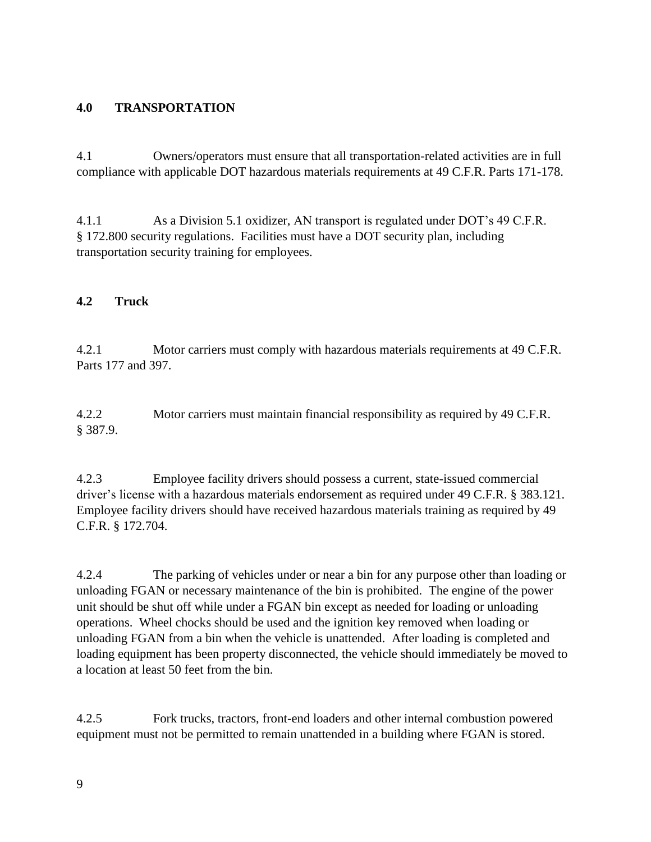#### **4.0 TRANSPORTATION**

4.1 Owners/operators must ensure that all transportation-related activities are in full compliance with applicable DOT hazardous materials requirements at 49 C.F.R. Parts 171-178.

4.1.1 As a Division 5.1 oxidizer, AN transport is regulated under DOT's 49 C.F.R. § 172.800 security regulations. Facilities must have a DOT security plan, including transportation security training for employees.

#### **4.2 Truck**

4.2.1 Motor carriers must comply with hazardous materials requirements at 49 C.F.R. Parts 177 and 397.

4.2.2 Motor carriers must maintain financial responsibility as required by 49 C.F.R. § 387.9.

4.2.3 Employee facility drivers should possess a current, state-issued commercial driver's license with a hazardous materials endorsement as required under 49 C.F.R. § 383.121. Employee facility drivers should have received hazardous materials training as required by 49 C.F.R. § 172.704.

4.2.4 The parking of vehicles under or near a bin for any purpose other than loading or unloading FGAN or necessary maintenance of the bin is prohibited. The engine of the power unit should be shut off while under a FGAN bin except as needed for loading or unloading operations. Wheel chocks should be used and the ignition key removed when loading or unloading FGAN from a bin when the vehicle is unattended. After loading is completed and loading equipment has been property disconnected, the vehicle should immediately be moved to a location at least 50 feet from the bin.

4.2.5 Fork trucks, tractors, front-end loaders and other internal combustion powered equipment must not be permitted to remain unattended in a building where FGAN is stored.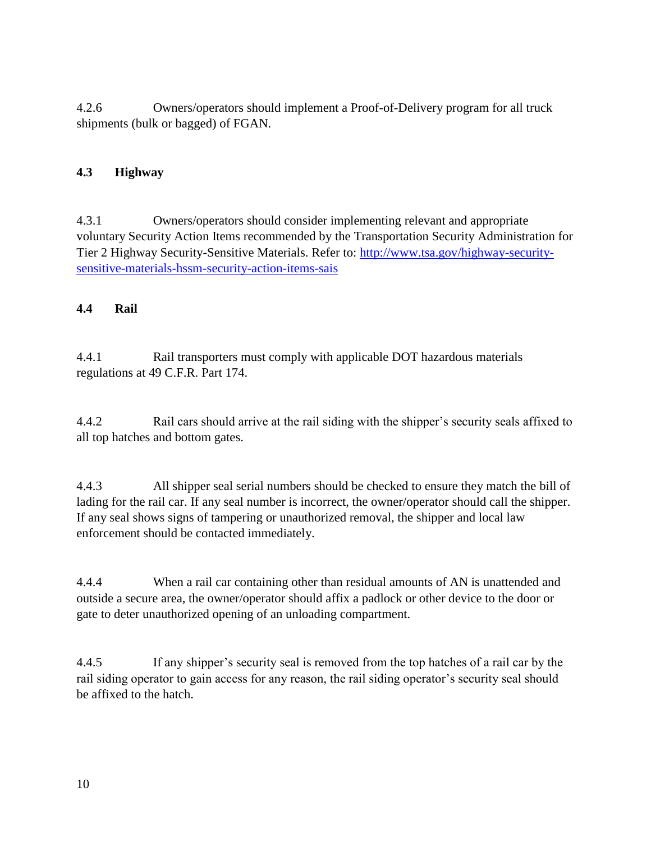4.2.6 Owners/operators should implement a Proof-of-Delivery program for all truck shipments (bulk or bagged) of FGAN.

## **4.3 Highway**

4.3.1 Owners/operators should consider implementing relevant and appropriate voluntary Security Action Items recommended by the Transportation Security Administration for Tier 2 Highway Security-Sensitive Materials. Refer to: [http://www.tsa.gov/highway-security](http://www.tsa.gov/highway-security-sensitive-materials-hssm-security-action-items-sais)[sensitive-materials-hssm-security-action-items-sais](http://www.tsa.gov/highway-security-sensitive-materials-hssm-security-action-items-sais)

### **4.4 Rail**

4.4.1 Rail transporters must comply with applicable DOT hazardous materials regulations at 49 C.F.R. Part 174.

4.4.2 Rail cars should arrive at the rail siding with the shipper's security seals affixed to all top hatches and bottom gates.

4.4.3 All shipper seal serial numbers should be checked to ensure they match the bill of lading for the rail car. If any seal number is incorrect, the owner/operator should call the shipper. If any seal shows signs of tampering or unauthorized removal, the shipper and local law enforcement should be contacted immediately.

4.4.4 When a rail car containing other than residual amounts of AN is unattended and outside a secure area, the owner/operator should affix a padlock or other device to the door or gate to deter unauthorized opening of an unloading compartment.

4.4.5 If any shipper's security seal is removed from the top hatches of a rail car by the rail siding operator to gain access for any reason, the rail siding operator's security seal should be affixed to the hatch.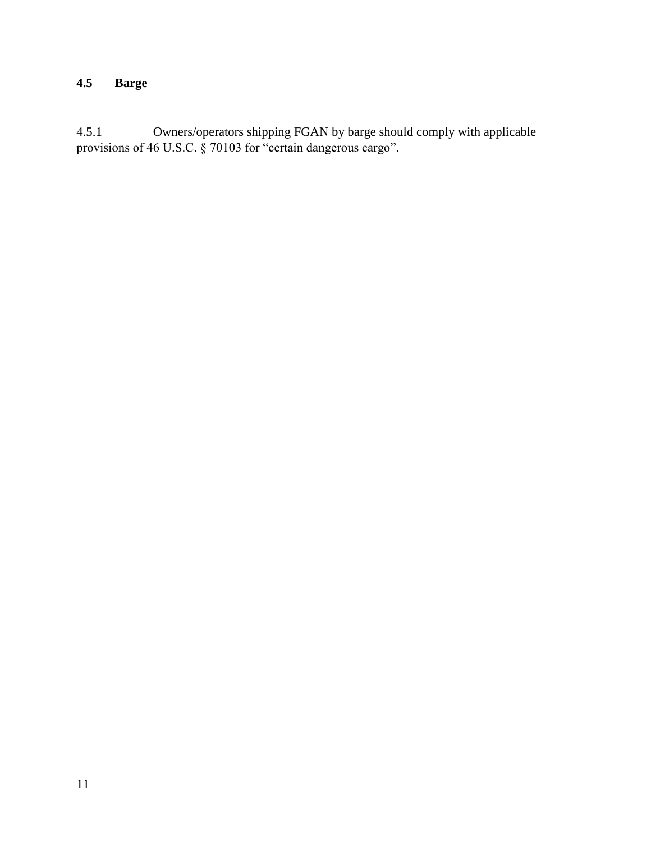## **4.5 Barge**

4.5.1 Owners/operators shipping FGAN by barge should comply with applicable provisions of 46 U.S.C. § 70103 for "certain dangerous cargo".